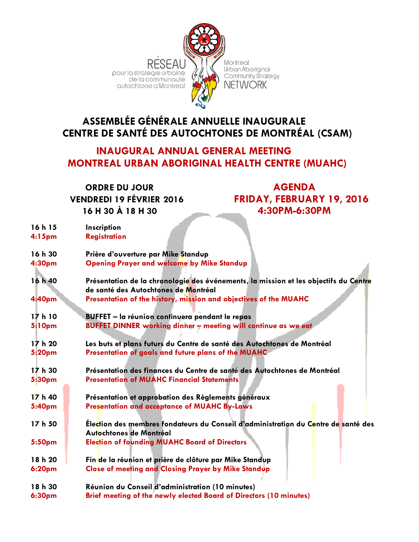

# **ASSEMBLÉE GÉNÉRALE ANNUELLE INAUGURALE CENTRE DE SANTÉ DES AUTOCHTONES DE MONTRÉAL (CSAM)**

# **INAUGURAL ANNUAL GENERAL MEETING MONTREAL URBAN ABORIGINAL HEALTH CENTRE (MUAHC)**

**ORDRE DU JOUR AGENDA 16 H 30 À 18 H 30 4:30PM-6:30PM**

**VENDREDI 19 FÉVRIER 2016 FRIDAY, FEBRUARY 19, 2016** 

| 16 h 15            | Inscription                                                                                                                   |
|--------------------|-------------------------------------------------------------------------------------------------------------------------------|
| 4:15 <sub>pm</sub> | <b>Registration</b>                                                                                                           |
|                    |                                                                                                                               |
| 16 h 30            | Prière d'ouverture par Mike Standup                                                                                           |
| 4:30pm             | <b>Opening Prayer and welcome by Mike Standup</b>                                                                             |
|                    |                                                                                                                               |
| 16 h 40            | Présentation de la chronologie des événements, la mission et les objectifs du Centre                                          |
|                    | de santé des Autochtones de Montréal                                                                                          |
| 4:40pm             | Presentation of the history, mission and objectives of the MUAHC                                                              |
|                    |                                                                                                                               |
| 17h10              | <b>BUFFET</b> - la réunion continuera pendant le repas                                                                        |
| 5:10pm             | BUFFET DINNER working dinner - meeting will continue as we eat                                                                |
|                    |                                                                                                                               |
| 17 h 20            | Les buts et plans futurs du Centre de santé des Autochtones de Montréal                                                       |
| 5:20pm             | Presentation of goals and future plans of the MUAHC                                                                           |
|                    |                                                                                                                               |
| 17h30              | Présentation des finances du Centre de santé des Autochtones de Montréal<br><b>Presentation of MUAHC Financial Statements</b> |
| 5:30pm             |                                                                                                                               |
| 17h40              | Présentation et approbation des Règlements généraux                                                                           |
| 5:40pm             | <b>Presentation and acceptance of MUAHC By-Laws</b>                                                                           |
|                    |                                                                                                                               |
| 17 h 50            | Election des membres fondateurs du Conseil d'administration du Centre de santé des                                            |
|                    | Autochtones de Montréal                                                                                                       |
| 5:50pm             | <b>Election of founding MUAHC Board of Directors</b>                                                                          |
|                    |                                                                                                                               |
| 18 h 20            | Fin de la réunion et prière de clôture par Mike Standup                                                                       |
| <b>6:20pm</b>      | <b>Close of meeting and Closing Prayer by Mike Standup</b>                                                                    |
|                    |                                                                                                                               |
| 18 h 30            | Réunion du Conseil d'administration (10 minutes)                                                                              |
| 6:30pm             | Brief meeting of the newly elected Board of Directors (10 minutes)                                                            |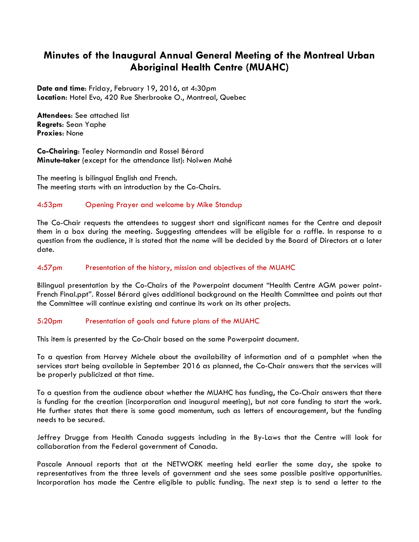## **Minutes of the Inaugural Annual General Meeting of the Montreal Urban Aboriginal Health Centre (MUAHC)**

**Date and time**: Friday, February 19, 2016, at 4:30pm **Location**: Hotel Evo, 420 Rue Sherbrooke O., Montreal, Quebec

**Attendees**: See attached list **Regrets**: Sean Yaphe **Proxies**: None

**Co-Chairing**: Tealey Normandin and Rossel Bérard **Minute-taker** (except for the attendance list): Nolwen Mahé

The meeting is bilingual English and French. The meeting starts with an introduction by the Co-Chairs.

#### 4:53pm Opening Prayer and welcome by Mike Standup

The Co-Chair requests the attendees to suggest short and significant names for the Centre and deposit them in a box during the meeting. Suggesting attendees will be eligible for a raffle. In response to a question from the audience, it is stated that the name will be decided by the Board of Directors at a later date.

#### 4:57pm Presentation of the history, mission and objectives of the MUAHC

Bilingual presentation by the Co-Chairs of the Powerpoint document "Health Centre AGM power point-French Final.ppt". Rossel Bérard gives additional background on the Health Committee and points out that the Committee will continue existing and continue its work on its other projects.

#### 5:20pm Presentation of goals and future plans of the MUAHC

This item is presented by the Co-Chair based on the same Powerpoint document.

To a question from Harvey Michele about the availability of information and of a pamphlet when the services start being available in September 2016 as planned, the Co-Chair answers that the services will be properly publicized at that time.

To a question from the audience about whether the MUAHC has funding, the Co-Chair answers that there is funding for the creation (incorporation and inaugural meeting), but not core funding to start the work. He further states that there is some good momentum, such as letters of encouragement, but the funding needs to be secured.

Jeffrey Drugge from Health Canada suggests including in the By-Laws that the Centre will look for collaboration from the Federal government of Canada.

Pascale Annoual reports that at the NETWORK meeting held earlier the same day, she spoke to representatives from the three levels of government and she sees some possible positive opportunities. Incorporation has made the Centre eligible to public funding. The next step is to send a letter to the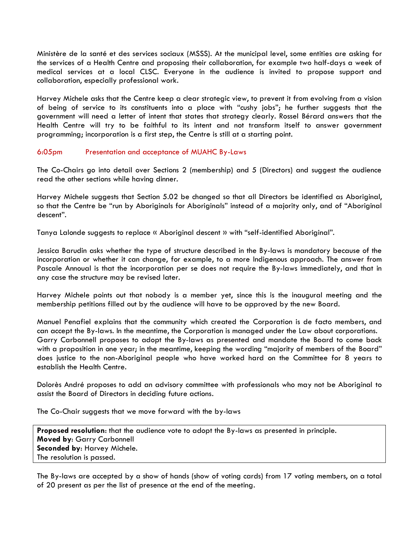Ministère de la santé et des services sociaux (MSSS). At the municipal level, some entities are asking for the services of a Health Centre and proposing their collaboration, for example two half-days a week of medical services at a local CLSC. Everyone in the audience is invited to propose support and collaboration, especially professional work.

Harvey Michele asks that the Centre keep a clear strategic view, to prevent it from evolving from a vision of being of service to its constituents into a place with "cushy jobs"; he further suggests that the government will need a letter of intent that states that strategy clearly. Rossel Bérard answers that the Health Centre will try to be faithful to its intent and not transform itself to answer government programming; incorporation is a first step, the Centre is still at a starting point.

#### 6:05pm Presentation and acceptance of MUAHC By-Laws

The Co-Chairs go into detail over Sections 2 (membership) and 5 (Directors) and suggest the audience read the other sections while having dinner.

Harvey Michele suggests that Section 5.02 be changed so that all Directors be identified as Aboriginal, so that the Centre be "run by Aboriginals for Aboriginals" instead of a majority only, and of "Aboriginal descent".

Tanya Lalonde suggests to replace « Aboriginal descent » with "self-identified Aboriginal".

Jessica Barudin asks whether the type of structure described in the By-laws is mandatory because of the incorporation or whether it can change, for example, to a more Indigenous approach. The answer from Pascale Annoual is that the incorporation per se does not require the By-laws immediately, and that in any case the structure may be revised later.

Harvey Michele points out that nobody is a member yet, since this is the inaugural meeting and the membership petitions filled out by the audience will have to be approved by the new Board.

Manuel Penafiel explains that the community which created the Corporation is de facto members, and can accept the By-laws. In the meantime, the Corporation is managed under the Law about corporations. Garry Carbonnell proposes to adopt the By-laws as presented and mandate the Board to come back with a proposition in one year; in the meantime, keeping the wording "majority of members of the Board" does justice to the non-Aboriginal people who have worked hard on the Committee for 8 years to establish the Health Centre.

Dolorès André proposes to add an advisory committee with professionals who may not be Aboriginal to assist the Board of Directors in deciding future actions.

The Co-Chair suggests that we move forward with the by-laws

**Proposed resolution**: that the audience vote to adopt the By-laws as presented in principle. **Moved by**: Garry Carbonnell **Seconded by**: Harvey Michele. The resolution is passed.

The By-laws are accepted by a show of hands (show of voting cards) from 17 voting members, on a total of 20 present as per the list of presence at the end of the meeting.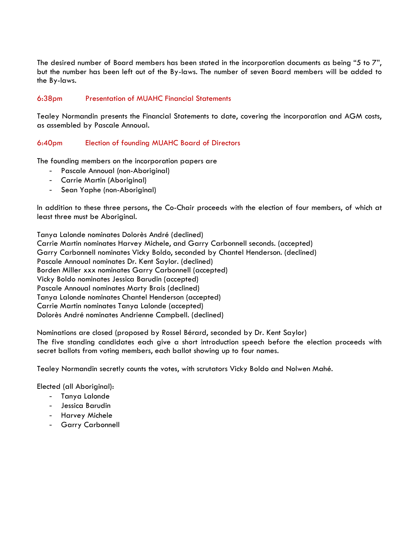The desired number of Board members has been stated in the incorporation documents as being "5 to 7", but the number has been left out of the By-laws. The number of seven Board members will be added to the By-laws.

#### 6:38pm Presentation of MUAHC Financial Statements

Tealey Normandin presents the Financial Statements to date, covering the incorporation and AGM costs, as assembled by Pascale Annoual.

#### 6:40pm Election of founding MUAHC Board of Directors

The founding members on the incorporation papers are

- Pascale Annoual (non-Aboriginal)
- Carrie Martin (Aboriginal)
- Sean Yaphe (non-Aboriginal)

In addition to these three persons, the Co-Chair proceeds with the election of four members, of which at least three must be Aboriginal.

Tanya Lalonde nominates Dolorès André (declined) Carrie Martin nominates Harvey Michele, and Garry Carbonnell seconds. (accepted) Garry Carbonnell nominates Vicky Boldo, seconded by Chantel Henderson. (declined) Pascale Annoual nominates Dr. Kent Saylor. (declined) Borden Miller xxx nominates Garry Carbonnell (accepted) Vicky Boldo nominates Jessica Barudin (accepted) Pascale Annoual nominates Marty Brais (declined) Tanya Lalonde nominates Chantel Henderson (accepted) Carrie Martin nominates Tanya Lalonde (accepted) Dolorès André nominates Andrienne Campbell. (declined)

Nominations are closed (proposed by Rossel Bérard, seconded by Dr. Kent Saylor) The five standing candidates each give a short introduction speech before the election proceeds with secret ballots from voting members, each ballot showing up to four names.

Tealey Normandin secretly counts the votes, with scrutators Vicky Boldo and Nolwen Mahé.

Elected (all Aboriginal):

- Tanya Lalonde
- Jessica Barudin
- Harvey Michele
- Garry Carbonnell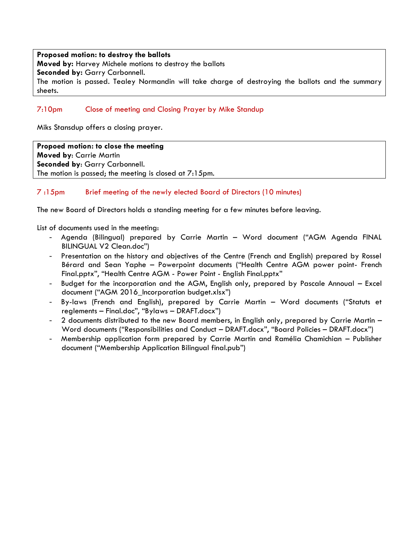#### **Proposed motion: to destroy the ballots**

**Moved by:** Harvey Michele motions to destroy the ballots

**Seconded by:** Garry Carbonnell.

The motion is passed. Tealey Normandin will take charge of destroying the ballots and the summary sheets.

### 7:10pm Close of meeting and Closing Prayer by Mike Standup

Miks Stansdup offers a closing prayer.

**Propoed motion: to close the meeting Moved by**: Carrie Martin **Seconded by**: Garry Carbonnell. The motion is passed; the meeting is closed at 7:15pm.

### 7 :15pm Brief meeting of the newly elected Board of Directors (10 minutes)

The new Board of Directors holds a standing meeting for a few minutes before leaving.

List of documents used in the meeting:

- Agenda (Bilingual) prepared by Carrie Martin Word document ("AGM Agenda FINAL BILINGUAL V2 Clean.doc")
- Presentation on the history and objectives of the Centre (French and English) prepared by Rossel Bérard and Sean Yaphe – Powerpoint documents ("Health Centre AGM power point- French Final.pptx", "Health Centre AGM - Power Point - English Final.pptx"
- Budget for the incorporation and the AGM, English only, prepared by Pascale Annoual Excel document ("AGM 2016\_Incorporation budget.xlsx")
- By-laws (French and English), prepared by Carrie Martin Word documents ("Statuts et reglements – Final.doc", "Bylaws – DRAFT.docx")
- 2 documents distributed to the new Board members, in English only, prepared by Carrie Martin -Word documents ("Responsibilities and Conduct – DRAFT.docx", "Board Policies – DRAFT.docx")
- Membership application form prepared by Carrie Martin and Ramélia Chamichian Publisher document ("Membership Application Bilingual final.pub")